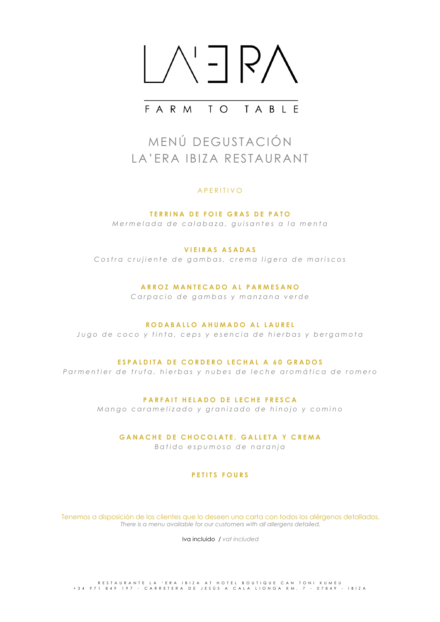

# FARM TO TABIF

# MENÚ DEGUSTACIÓN LA'ERA IBIZA RESTAURANT

### APERITIVO

**TERRINA DE FOIE GRAS DE PATO** *Mermelada de calabaza, guisantes a la menta*

### **VIEIRAS ASADAS**

*Costra crujiente de gambas, crema ligera de mariscos* 

### **ARROZ MANTECADO AL PARMESANO**

*Carpacio de gambas y manzana verde*

#### **RODABALLO AHUMADO AL LAUREL**

*Jugo de coco y tinta, ceps y esencia de hierbas y bergamota*

### **ESPALDITA DE CORDERO LECHAL A 60 GRADOS**

*Parm entier de trufa, hierbas y nubes de leche aromática de romero*

### **PARFAIT HELADO DE LECHE FRESCA**

*Mango caramelizado y granizado de hinojo y comino*

### **GANACHE DE CHOCOLATE , GALLETA Y CREMA**

*Batido espumoso de naranja*

### **PETITS FOURS**

Tenemos a disposición de los clientes que lo deseen una carta con todos los alérgenos detallados. *There is a menu available for our customers with all allergens detailed.*

Iva incluido / *vat included*

RESTAURANTE LA 'ERA IBIZA AT HOTEL BOUTIQUE CAN TONI XUMEU<br>434 971 849 197 - CARRETERA DE JESÚS A CALA LIONGA KM. 7 - 07849 - IBIZA